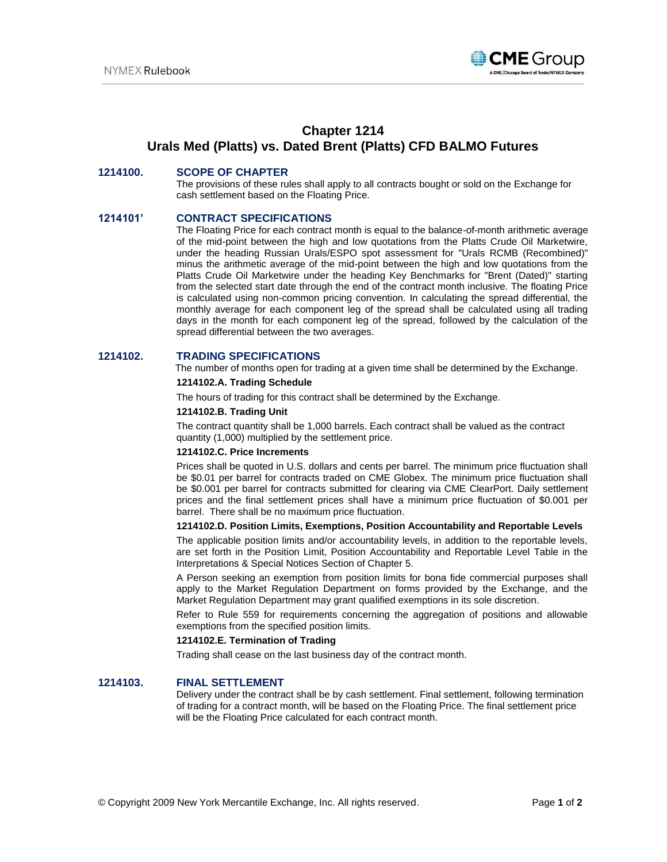

# **Chapter 1214 Urals Med (Platts) vs. Dated Brent (Platts) CFD BALMO Futures**

## **1214100. SCOPE OF CHAPTER**

The provisions of these rules shall apply to all contracts bought or sold on the Exchange for cash settlement based on the Floating Price.

### **1214101' CONTRACT SPECIFICATIONS**

The Floating Price for each contract month is equal to the balance-of-month arithmetic average of the mid-point between the high and low quotations from the Platts Crude Oil Marketwire, under the heading Russian Urals/ESPO spot assessment for "Urals RCMB (Recombined)" minus the arithmetic average of the mid-point between the high and low quotations from the Platts Crude Oil Marketwire under the heading Key Benchmarks for "Brent (Dated)" starting from the selected start date through the end of the contract month inclusive. The floating Price is calculated using non-common pricing convention. In calculating the spread differential, the monthly average for each component leg of the spread shall be calculated using all trading days in the month for each component leg of the spread, followed by the calculation of the spread differential between the two averages.

### **1214102. TRADING SPECIFICATIONS**

The number of months open for trading at a given time shall be determined by the Exchange.

#### **1214102.A. Trading Schedule**

The hours of trading for this contract shall be determined by the Exchange.

#### **1214102.B. Trading Unit**

The contract quantity shall be 1,000 barrels. Each contract shall be valued as the contract quantity (1,000) multiplied by the settlement price.

#### **1214102.C. Price Increments**

Prices shall be quoted in U.S. dollars and cents per barrel. The minimum price fluctuation shall be \$0.01 per barrel for contracts traded on CME Globex. The minimum price fluctuation shall be \$0.001 per barrel for contracts submitted for clearing via CME ClearPort. Daily settlement prices and the final settlement prices shall have a minimum price fluctuation of \$0.001 per barrel. There shall be no maximum price fluctuation.

#### **1214102.D. Position Limits, Exemptions, Position Accountability and Reportable Levels**

The applicable position limits and/or accountability levels, in addition to the reportable levels, are set forth in the Position Limit, Position Accountability and Reportable Level Table in the Interpretations & Special Notices Section of Chapter 5.

A Person seeking an exemption from position limits for bona fide commercial purposes shall apply to the Market Regulation Department on forms provided by the Exchange, and the Market Regulation Department may grant qualified exemptions in its sole discretion.

Refer to Rule 559 for requirements concerning the aggregation of positions and allowable exemptions from the specified position limits.

#### **1214102.E. Termination of Trading**

Trading shall cease on the last business day of the contract month.

# **1214103. FINAL SETTLEMENT**

Delivery under the contract shall be by cash settlement. Final settlement, following termination of trading for a contract month, will be based on the Floating Price. The final settlement price will be the Floating Price calculated for each contract month.